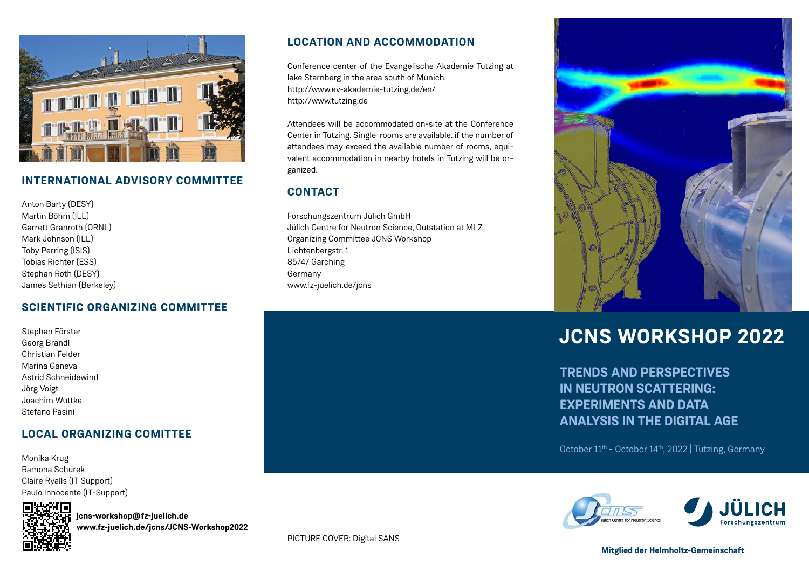

## **INTERNATIONAL ADVISORY COMMITTEE**

Anton Barty (DESY) Martin Böhm (ILL) Garrett Granroth (ORNL) Mark Johnson (ILL) Toby Perring (ISIS) Tobias Richter (ESS) Stephan Roth (DESY) James Sethian (Berkeley)

## **SCIENTIFIC ORGANIZING COMMITTEE**

Stephan Förster Georg Brandl Christian Felder Marina Ganeva Astrid Schneidewind Jörg Voigt Joachim Wuttke Stefano Pasini

## **LOCAL ORGANIZING COMITTEE**

Monika Krug Ramona Schurek Claire Ryalls (IT Support) Paulo Innocente (IT-Support)



**jcns-workshop@fz-juelich.de www.fz-juelich.de/jcns/JCNS-Workshop2022**

## **LOCATION AND ACCOMMODATION**

Conference center of the Evangelische Akademie Tutzing at lake Starnberg in the area south of Munich. http://www.ev-akademie-tutzing.de/en/ http://www.tutzing.de

Attendees will be accommodated on-site at the Conference Center in Tutzing. Single rooms are available. if the number of attendees may exceed the available number of rooms, equivalent accommodation in nearby hotels in Tutzing will be organized.

## **CONTACT**

Forschungszentrum Jülich GmbH Jülich Centre for Neutron Science, Outstation at MLZ Organizing Committee JCNS Workshop Lichtenbergstr. 1 85747 Garching Germany www.fz-juelich.de/jcns



# **JCNS WORKSHOP 2022**

**TRENDS AND PERSPECTIVES IN NEUTRON SCATTERING: EXPERIMENTS AND DATA ANALYSIS IN THE DIGITAL AGE**

October 11<sup>th</sup> - October 14<sup>th</sup>, 2022 | Tutzing, Germany



PICTURE COVER: Digital SANS